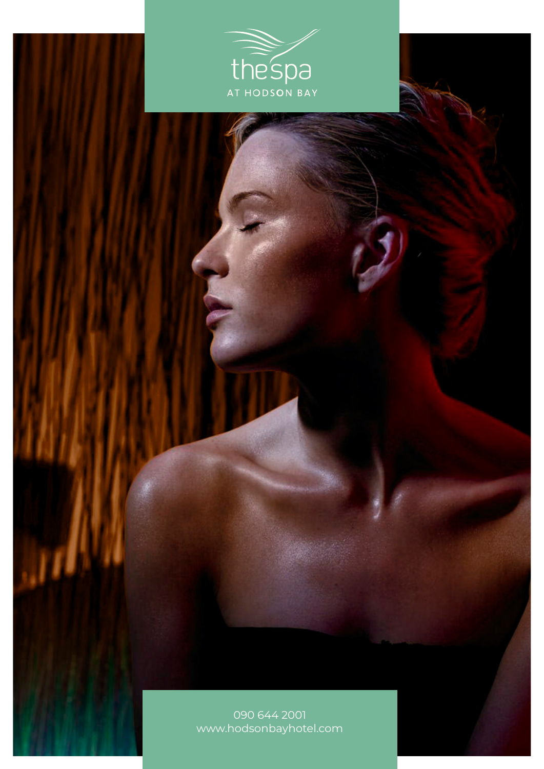

090 644 2001 www.hodsonbayhotel.com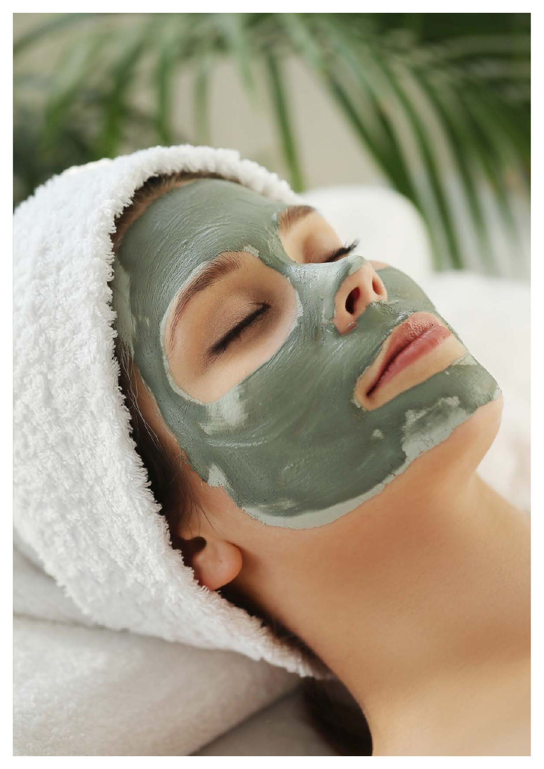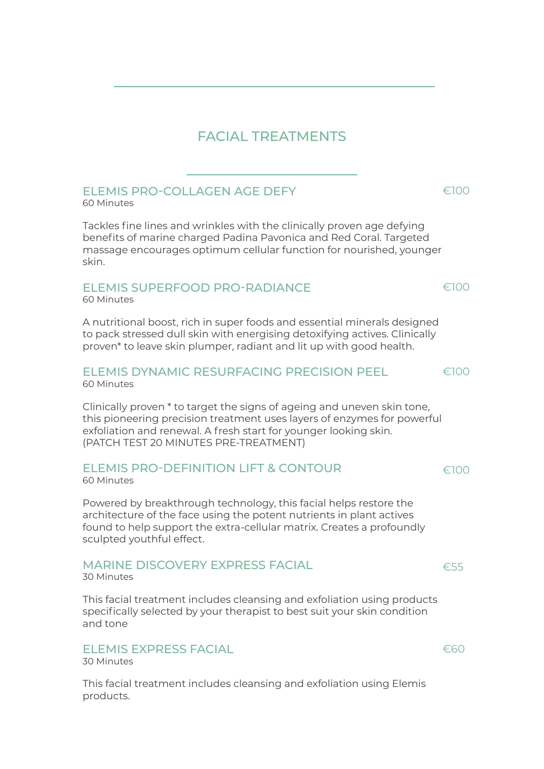# FACIAL TREATMENTS

## ELEMIS PRO-COLLAGEN AGE DEFY 60 Minutes

Tackles fine lines and wrinkles with the clinically proven age defying benefits of marine charged Padina Pavonica and Red Coral. Targeted massage encourages optimum cellular function for nourished, younger skin.

## ELEMIS SUPERFOOD PRO-RADIANCE 60 Minutes

A nutritional boost, rich in super foods and essential minerals designed to pack stressed dull skin with energising detoxifying actives. Clinically proven\* to leave skin plumper, radiant and lit up with good health.

#### ELEMIS DYNAMIC RESURFACING PRECISION PEEL 60 Minutes €100

Clinically proven \* to target the signs of ageing and uneven skin tone, this pioneering precision treatment uses layers of enzymes for powerful exfoliation and renewal. A fresh start for younger looking skin. (PATCH TEST 20 MINUTES PRE-TREATMENT)

## ELEMIS PRO-DEFINITION LIFT & CONTOUR 60 Minutes

Powered by breakthrough technology, this facial helps restore the architecture of the face using the potent nutrients in plant actives found to help support the extra-cellular matrix. Creates a profoundly sculpted youthful effect.

### MARINE DISCOVERY EXPRESS FACIAL 30 Minutes

This facial treatment includes cleansing and exfoliation using products specifically selected by your therapist to best suit your skin condition and tone

ELEMIS EXPRESS FACIAL 30 Minutes

This facial treatment includes cleansing and exfoliation using Elemis products.

€100

€100

€100

€55

€60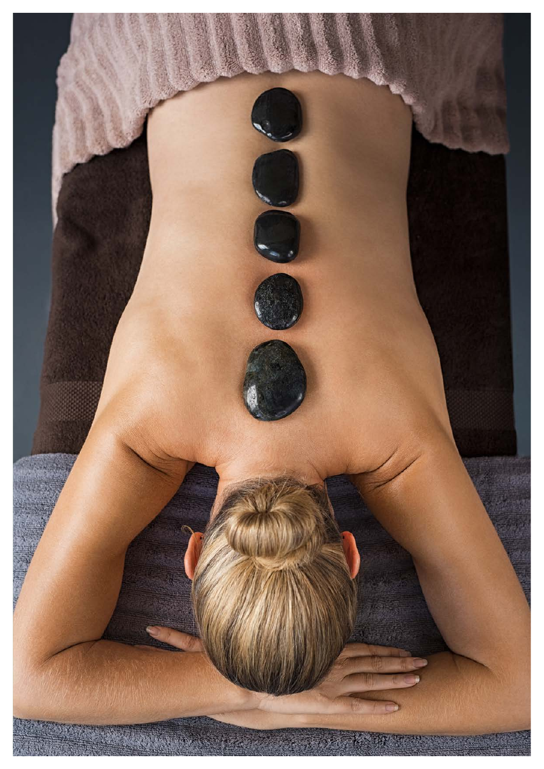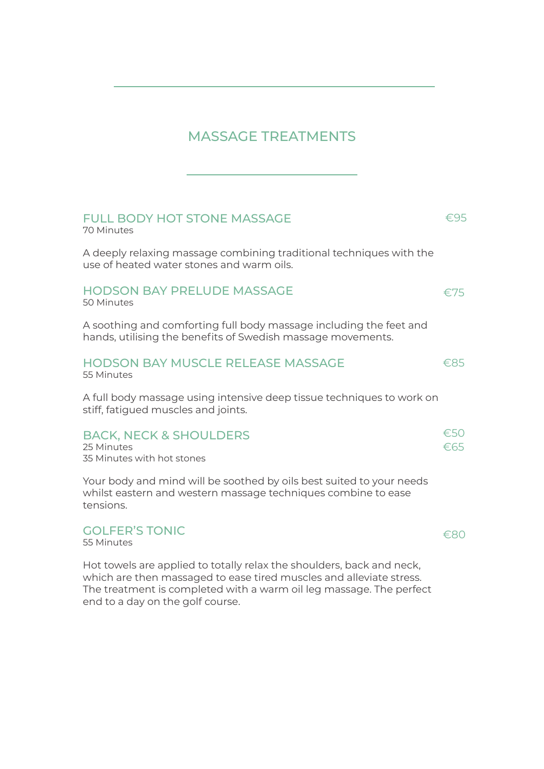# MASSAGE TREATMENTS

# FULL BODY HOT STONE MASSAGE

70 Minutes

A deeply relaxing massage combining traditional techniques with the use of heated water stones and warm oils.

## HODSON BAY PRELUDE MASSAGE

50 Minutes

A soothing and comforting full body massage including the feet and hands, utilising the benefits of Swedish massage movements.

#### HODSON BAY MUSCLE RELEASE MASSAGE 55 Minutes €85

A full body massage using intensive deep tissue techniques to work on stiff, fatigued muscles and joints.

## BACK, NECK & SHOULDERS

25 Minutes 35 Minutes with hot stones

Your body and mind will be soothed by oils best suited to your needs whilst eastern and western massage techniques combine to ease tensions.

GOLFER'S TONIC 55 Minutes

Hot towels are applied to totally relax the shoulders, back and neck, which are then massaged to ease tired muscles and alleviate stress. The treatment is completed with a warm oil leg massage. The perfect end to a day on the golf course.

€80

€95

€75

€50

€65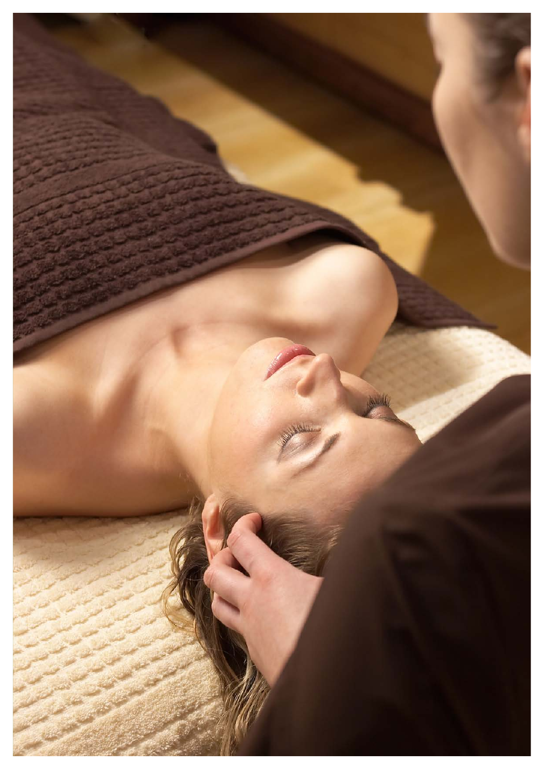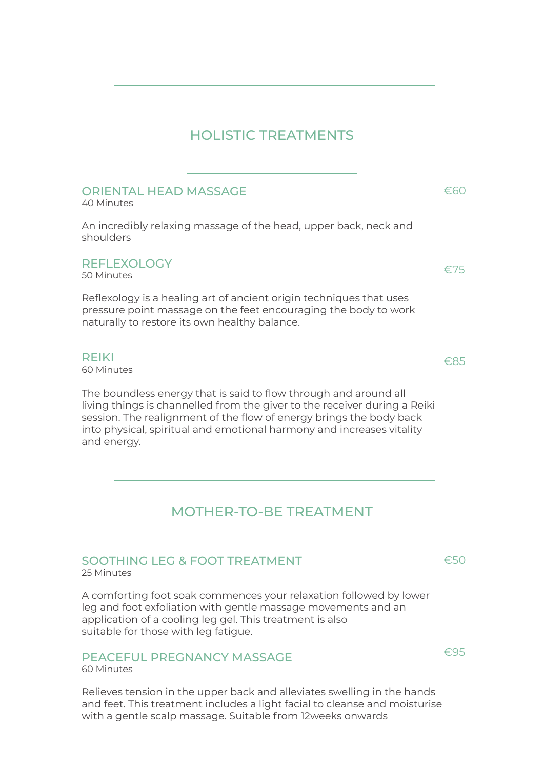# HOLISTIC TREATMENTS

### ORIENTAL HEAD MASSAGE 40 Minutes

An incredibly relaxing massage of the head, upper back, neck and shoulders

REFLEXOLOGY 50 Minutes

Reflexology is a healing art of ancient origin techniques that uses pressure point massage on the feet encouraging the body to work naturally to restore its own healthy balance.

## REIKI

60 Minutes

The boundless energy that is said to flow through and around all living things is channelled from the giver to the receiver during a Reiki session. The realignment of the flow of energy brings the body back into physical, spiritual and emotional harmony and increases vitality and energy.

# MOTHER-TO-BE TREATMENT

## SOOTHING LEG & FOOT TREATMENT 25 Minutes

A comforting foot soak commences your relaxation followed by lower leg and foot exfoliation with gentle massage movements and an application of a cooling leg gel. This treatment is also suitable for those with leg fatigue.

## PEACEFUL PREGNANCY MASSAGE 60 Minutes

Relieves tension in the upper back and alleviates swelling in the hands and feet. This treatment includes a light facial to cleanse and moisturise with a gentle scalp massage. Suitable from 12weeks onwards

€95

€85

€60

€75

€50